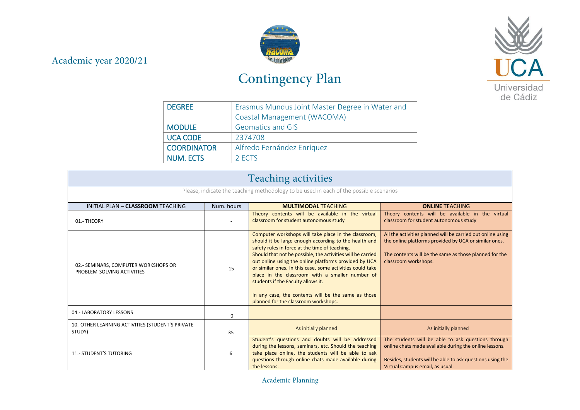## Academic year 2020/21



## Contingency Plan



| <b>DEGREE</b>      | Erasmus Mundus Joint Master Degree in Water and |  |
|--------------------|-------------------------------------------------|--|
|                    | Coastal Management (WACOMA)                     |  |
| <b>MODULE</b>      | <b>Geomatics and GIS</b>                        |  |
| <b>UCA CODE</b>    | 2374708                                         |  |
| <b>COORDINATOR</b> | Alfredo Fernández Enríquez                      |  |
| <b>NUM. ECTS</b>   | 2 FCTS                                          |  |

| <b>Teaching activities</b>                                                             |            |                                                                                                                                                                                                                                                                                                                                                                                                                                                                                                                                              |                                                                                                                                                                                                              |  |
|----------------------------------------------------------------------------------------|------------|----------------------------------------------------------------------------------------------------------------------------------------------------------------------------------------------------------------------------------------------------------------------------------------------------------------------------------------------------------------------------------------------------------------------------------------------------------------------------------------------------------------------------------------------|--------------------------------------------------------------------------------------------------------------------------------------------------------------------------------------------------------------|--|
| Please, indicate the teaching methodology to be used in each of the possible scenarios |            |                                                                                                                                                                                                                                                                                                                                                                                                                                                                                                                                              |                                                                                                                                                                                                              |  |
| INITIAL PLAN - CLASSROOM TEACHING                                                      | Num, hours | <b>MULTIMODAL TEACHING</b>                                                                                                                                                                                                                                                                                                                                                                                                                                                                                                                   | <b>ONLINE TEACHING</b>                                                                                                                                                                                       |  |
| 01.- THEORY                                                                            |            | Theory contents will be available in the virtual<br>classroom for student autonomous study                                                                                                                                                                                                                                                                                                                                                                                                                                                   | Theory contents will be available in the virtual<br>classroom for student autonomous study                                                                                                                   |  |
| 02.- SEMINARS, COMPUTER WORKSHOPS OR<br>PROBLEM-SOLVING ACTIVITIES                     | 15         | Computer workshops will take place in the classroom,<br>should it be large enough according to the health and<br>safety rules in force at the time of teaching.<br>Should that not be possible, the activities will be carried<br>out online using the online platforms provided by UCA<br>or similar ones. In this case, some activities could take<br>place in the classroom with a smaller number of<br>students if the Faculty allows it.<br>In any case, the contents will be the same as those<br>planned for the classroom workshops. | All the activities planned will be carried out online using<br>the online platforms provided by UCA or similar ones.<br>The contents will be the same as those planned for the<br>classroom workshops.       |  |
| 04.- LABORATORY LESSONS                                                                | $\Omega$   |                                                                                                                                                                                                                                                                                                                                                                                                                                                                                                                                              |                                                                                                                                                                                                              |  |
| 10.-OTHER LEARNING ACTIVITIES (STUDENT'S PRIVATE<br>STUDY)                             | 35         | As initially planned                                                                                                                                                                                                                                                                                                                                                                                                                                                                                                                         | As initially planned                                                                                                                                                                                         |  |
| <b>11.- STUDENT'S TUTORING</b>                                                         | 6          | Student's questions and doubts will be addressed<br>during the lessons, seminars, etc. Should the teaching<br>take place online, the students will be able to ask<br>questions through online chats made available during<br>the lessons.                                                                                                                                                                                                                                                                                                    | The students will be able to ask questions through<br>online chats made available during the online lessons.<br>Besides, students will be able to ask questions using the<br>Virtual Campus email, as usual. |  |

Academic Planning